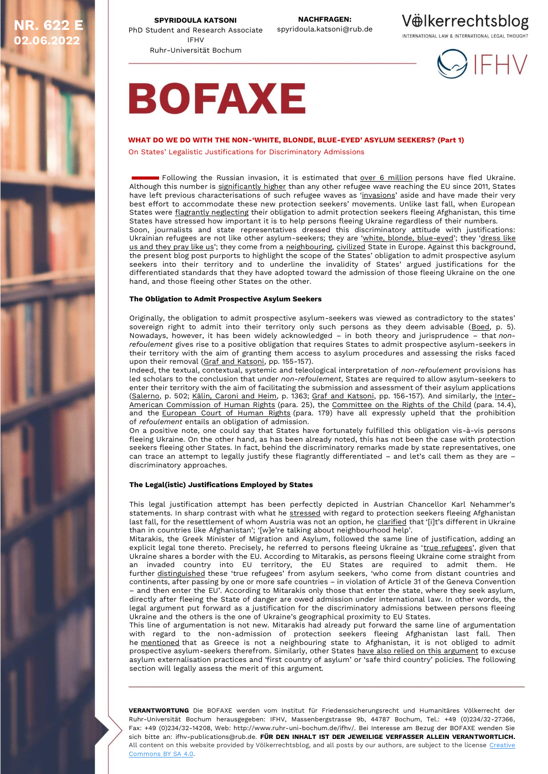**02.06.2022**

**SPYRIDOULA KATSONI NR. 622 E SPYRIDOULA KATSONI SPYRIOULA KATSONI NACHFRAGEN:**<br>PhD Student and Research Associate spyridoula.katsoni@rub.de IFHV Ruhr-Universität Bochum

## Vëlkerrechtsblog

INTERNATIONAL LAW & INTERNATIONAL LEGAL THOUGHT





## **WHAT DO WE DO WITH THE NON-'WHITE, BLONDE, BLUE-EYED' ASYLUM SEEKERS? (Part 1)**

On States' Legalistic Justifications for Discriminatory Admissions

**Following the Russian invasion, it is estimated that <u>over 6 [million](https://data2.unhcr.org/en/situations/ukraine)</u> persons have fled Ukraine.** Although this number is [significantly](https://www.vox.com/22983230/europe-ukraine-refugees-charts-map) higher than any other refugee wave reaching the EU since 2011, States have left previous characterisations of such refugee waves as '[invasions](https://www.vox.com/22983230/europe-ukraine-refugees-charts-map)' aside and have made their very best effort to accommodate these new protection seekers' movements. Unlike last fall, when European States were flagrantly [neglecting](https://voelkerrechtsblog.org/refoulement-beyond-pushbacks/) their obligation to admit protection seekers fleeing Afghanistan, this time States have stressed how important it is to help persons fleeing Ukraine regardless of their numbers. Soon, journalists and state representatives dressed this discriminatory attitude with justifications:

Ukrainian refugees are not like other asylum-seekers; they are 'white, blonde, [blue-eyed](https://www.newslaundry.com/2022/02/28/europeans-with-blue-eyes-blonde-hair-being-killed-media-coverage-of-ukraine-criticised-for-racism)'; they '[dress](https://www.theguardian.com/commentisfree/2022/mar/02/civilised-european-look-like-us-racist-coverage-ukraine) like us and [they](https://www.theguardian.com/commentisfree/2022/mar/02/civilised-european-look-like-us-racist-coverage-ukraine) pray like us'; they come from a [neighbouring,](https://www.theguardian.com/commentisfree/2022/mar/02/civilised-european-look-like-us-racist-coverage-ukraine) [civilized](https://minutemirror.com.pk/of-blue-eyed-civilised-refugees-media-berated-for-racist-coverage-of-ukrainian-refugee-crisis-30458/) State in Europe. Against this background, the present blog post purports to highlight the scope of the States' obligation to admit prospective asylum seekers into their territory and to underline the invalidity of States' argued justifications for the differentiated standards that they have adopted toward the admission of those fleeing Ukraine on the one hand, and those fleeing other States on the other.

### **The Obligation to Admit Prospective Asylum Seekers**

Originally, the obligation to admit prospective asylum-seekers was viewed as contradictory to the states' sovereign right to admit into their territory only such persons as they deem advisable [\(Boed,](https://scholarship.law.duke.edu/cgi/viewcontent.cgi?article=1342&context=djcil) p. 5). Nowadays, however, it has been widely acknowledged – in both theory and jurisprudence – that *nonrefoulement* gives rise to a positive obligation that requires States to admit prospective asylum-seekers in their territory with the aim of granting them access to asylum procedures and assessing the risks faced upon their removal (Graf and [Katsoni,](https://elibrary.bwv-verlag.de/article/10.35998/huv-2021-0009) pp. 155-157).

Indeed, the textual, contextual, systemic and teleological interpretation of *non-refoulement* provisions has led scholars to the conclusion that under *non-refoulement*, States are required to allow asylum-seekers to enter their territory with the aim of facilitating the submission and assessment of their asylum applications [\(Salerno,](https://iris.unife.it/handle/11392/1684023?mode=full.18#.YTtRRZ0zZPY) p. 502; Kälin, [Caroni](https://opil.ouplaw.com/view/10.1093/actrade/9780199542512.001.0001/actrade-9780199542512-chapter-51) and Heim, p. 1363; Graf and [Katsoni,](https://elibrary.bwv-verlag.de/article/10.35998/huv-2021-0009) pp. 156-157). And similarly, the [Inter-](https://www.refworld.org/docid/50ceedc72.html)American [Commission](https://www.refworld.org/docid/50ceedc72.html) of Human Rights (para. 25), the [Committee](https://emea01.safelinks.protection.outlook.com/?url=https%3A%2F%2Fecre.us1.list-manage.com%2Ftrack%2Fclick%3Fu%3D8e3ebd297b1510becc6d6d690%26id%3D52a4b61adf%26e%3D56b205c629&data=02%7C01%7Cvanderhi%40unhcr.org%7C0de193277d334ed6195508d698ca564d%7Ce5c37981666441348a0c6543d2af80be%7C0%7C0%7C636864392143404003&sdata=8xqNG6ljmR%2BtACS1XCkS2j0b724vrukTmna9m6dxPp0%3D&reserved=0) on the Rights of the Child (para. 14.4), and the [European](https://hudoc.echr.coe.int/eng#{%22fulltext%22:[%22mk%20and%20others%20v%20poland%22],%22documentcollectionid2%22:[%22GRANDCHAMBER%22,%22CHAMBER%22],%22itemid%22:[%22001-203840%22]}) Court of Human Rights (para. 179) have all expressly upheld that the prohibition of *refoulement* entails an obligation of admission.

On a positive note, one could say that States have fortunately fulfilled this obligation vis-à-vis persons fleeing Ukraine. On the other hand, as has been already noted, this has not been the case with protection seekers fleeing other States. In fact, behind the discriminatory remarks made by state representatives, one can trace an attempt to legally justify these flagrantly differentiated – and let's call them as they are – discriminatory approaches.

## **The Legal(istic) Justifications Employed by States**

This legal justification attempt has been perfectly depicted in Austrian Chancellor Karl Nehammer's statements. In sharp contrast with what he [stressed](https://www.euractiv.com/section/politics/short_news/austria-says-it-will-not-solve-europes-afghanistan-problem/) with regard to protection seekers fleeing Afghanistan last fall, for the resettlement of whom Austria was not an option, he [clarified](https://www.theguardian.com/commentisfree/2022/mar/02/civilised-european-look-like-us-racist-coverage-ukraine) that '[i]t's different in Ukraine than in countries like Afghanistan'; '[w]e're talking about neighbourhood help'.

Mitarakis, the Greek Minister of Migration and Asylum, followed the same line of justification, adding an explicit legal tone thereto. Precisely, he referred to persons fleeing Ukraine as 'true [refugees](https://www.2020mag.gr/themata/4355-mitarakis-sti-vouli-oi-oukranoi-einai-pragmatikoi-prosfyges-oxi-san-tous-allous-video)', given that Ukraine shares a border with the EU. According to Mitarakis, as persons fleeing Ukraine come straight from an invaded country into EU territory, the EU States are required to admit them. He further [distinguished](https://www.naftemporiki.gr/story/1837639/n-mitarakis-ortha-xaraktirisa-tous-prosfuges-apo-tin-oukrania-pragmatikous-prosfuges) these 'true refugees' from asylum seekers, 'who come from distant countries and continents, after passing by one or more safe countries – in violation of Article 31 of the Geneva Convention – and then enter the EU'. According to Mitarakis only those that enter the state, where they seek asylum, directly after fleeing the State of danger are owed admission under international law. In other words, the legal argument put forward as a justification for the discriminatory admissions between persons fleeing Ukraine and the others is the one of Ukraine's geographical proximity to EU States.

This line of argumentation is not new. Mitarakis had already put forward the same line of argumentation with regard to the non-admission of protection seekers fleeing Afghanistan last fall. Then he [mentioned](https://www.avgi.gr/politiki/394020_den-tha-dehthoyme-afganoys-prosfyges-espeyse-na-toys-haraktirisei-paratypoys) that as Greece is not a neighbouring state to Afghanistan, it is not obliged to admit prospective asylum-seekers therefrom. Similarly, other States have also relied on this [argument](https://eumigrationlawblog.eu/externalisation-of-asylum-in-europe-unpacking-the-uk-rwanda-asylum-partnership-agreement/) to excuse asylum externalisation practices and 'first country of asylum' or 'safe third country' policies. The following section will legally assess the merit of this argument.

**VERANTWORTUNG** Die BOFAXE werden vom Institut für Friedenssicherungsrecht und Humanitäres Völkerrecht der Ruhr-Universität Bochum herausgegeben: IFHV, Massenbergstrasse 9b, 44787 Bochum, Tel.: +49 (0)234/32-27366, Fax: +49 (0)234/32-14208, Web: http://www.ruhr-uni-bochum.de/ifhv/. Bei Interesse am Bezug der BOFAXE wenden Sie sich bitte an: ifhv-publications@rub.de. **FÜR DEN INHALT IST DER JEWEILIGE VERFASSER ALLEIN VERANTWORTLICH.** All content on this website provided by Völkerrechtsblog, and all posts by our authors, are subject to the license Creative [Commons BY SA 4.0.](https://creativecommons.org/licenses/by-sa/4.0/)